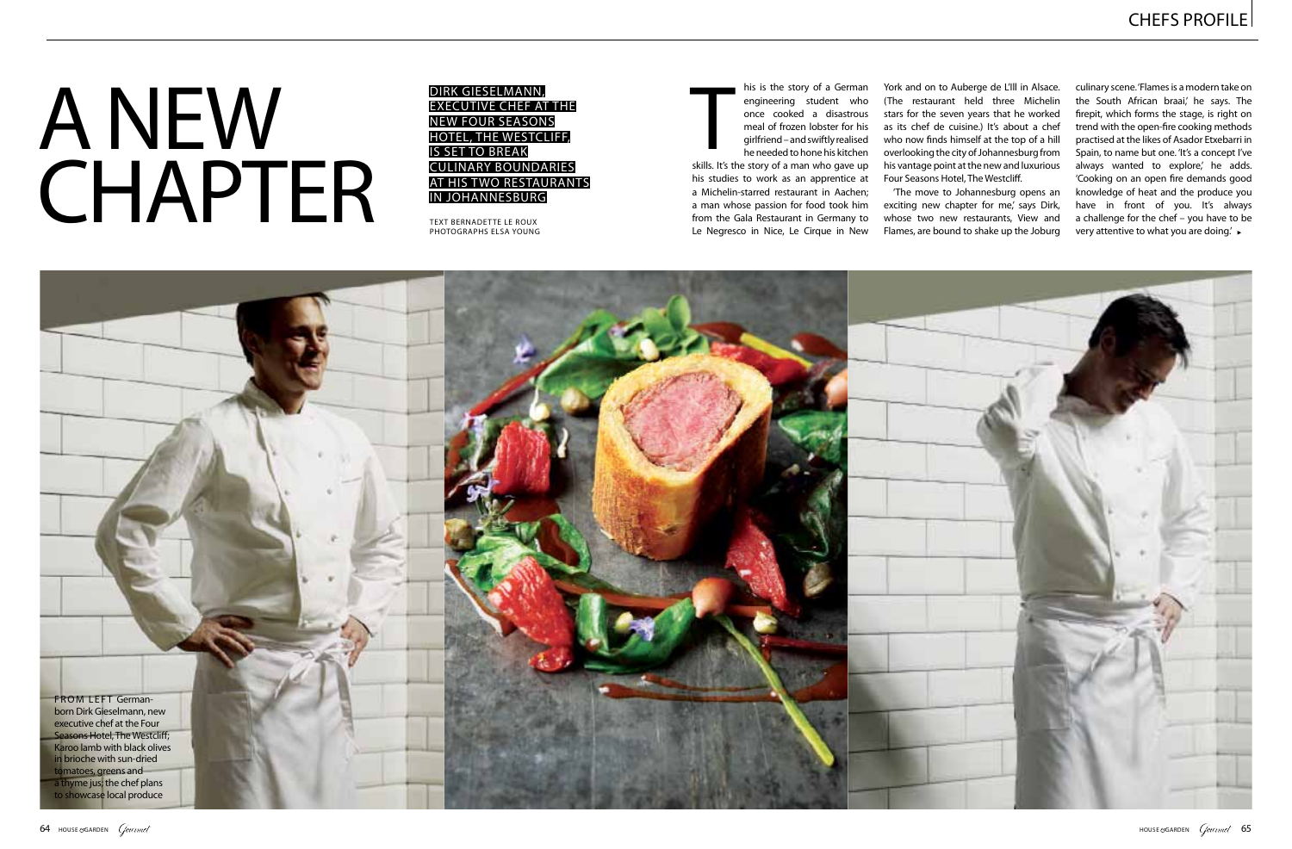York and on to Auberge de L'Ill in Alsace. (The restaurant held three Michelin stars for the seven years that he worked as its chef de cuisine.) It's about a chef who now finds himself at the top of a hill overlooking the city of Johannesburg from his vantage point at the new and luxurious Four Seasons Hotel, The Westcliff.

'The move to Johannesburg opens an exciting new chapter for me,' says Dirk, whose two new restaurants, View and Flames, are bound to shake up the Joburg

## **ANEW** CHAPTER

Dirk Gieselmann, executive chef at the new Four Seasons Hotel, The Westcliff, is set to break culinary boundaries at his two restaurants in Johannesburg

his is the story of a German engineering student who once cooked a disastrous meal of frozen lobster for his girlfriend – and swiftly realised he needed to hone his kitchen his is the story of a German<br>
engineering student who<br>
once cooked a disastrous<br>
meal of frozen lobster for his<br>
girlfriend – and swiftly realised<br>
he needed to hone his kitchen<br>
skills. It's the story of a man who gave up

text bernadette le roux photographs elsa young



culinary scene. 'Flames is a modern take on the South African braai,' he says. The firepit, which forms the stage, is right on trend with the open-fire cooking methods practised at the likes of Asador Etxebarri in Spain, to name but one. 'It's a concept I've always wanted to explore,' he adds. 'Cooking on an open fire demands good knowledge of heat and the produce you have in front of you. It's always a challenge for the chef – you have to be very attentive to what you are doing.'

his studies to work as an apprentice at a Michelin-starred restaurant in Aachen; a man whose passion for food took him from the Gala Restaurant in Germany to Le Negresco in Nice, Le Cirque in New